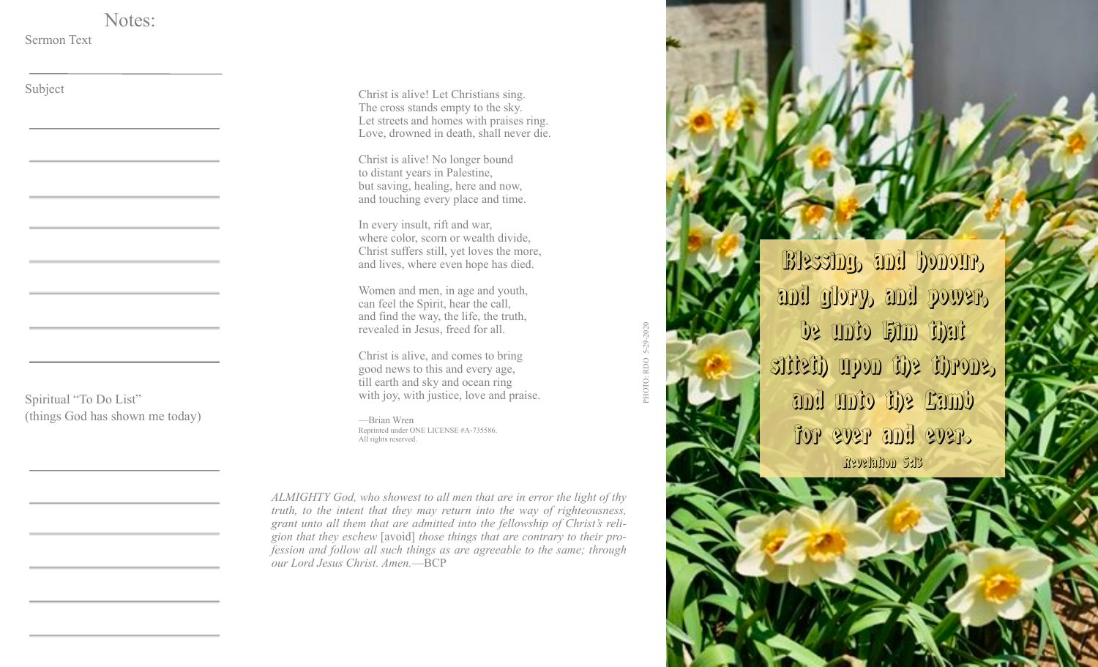Notes:

Sermon Text

Subject

Spiritual "To Do List" (things God has shown me today)

Christ is alive! Let Christians sing. The cross stands empty to the sky. Let streets and homes with praises ring. Love, drowned in death, shall never die.

Christ is alive! No longer bound to distant years in Palestine, but saving, healing, here and now, and touching every place and time.

In every insult, rift and war, where color, scorn or wealth divide, Christ suffers still, yet loves the more, and lives, where even hope has died.

Women and men, in age and youth, can feel the Spirit, hear the call, and find the way, the life, the truth, revealed in Jesus, freed for all.

Christ is alive, and comes to bring good news to this and every age, till earth and sky and ocean ring with joy, with justice, love and praise.

—Brian Wren Reprinted under ONE LICENSE #A-735586. All rights reserved.

*ALMIGHTY God, who showest to all men that are in error the light of thy truth, to the intent that they may return into the way of righteousness, grant unto all them that are admitted into the fellowship of Christ's religion that they eschew* [avoid] *those things that are contrary to their profession and follow all such things as are agreeable to the same; through our Lord Jesus Christ. Amen.*—BCP

## RDO 5-29-2020 PHOTO: RDO 5-29-2020

Blessing, and honour, and glory, and power, be unto Him that sitteth upon the throne, and unto the Lamb for ever and ever. **Revelation 5:13**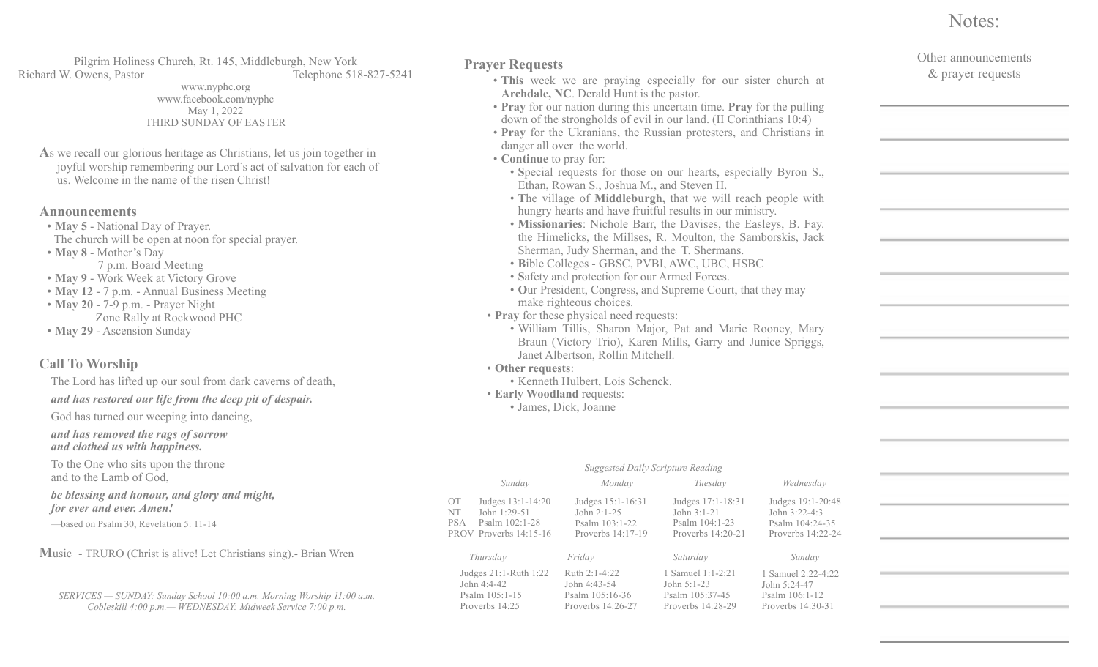## Notes:

| <b>Prayer Requests</b><br>• This week we are praying especially for our sister church at<br>Archdale, NC. Derald Hunt is the pastor.<br>• Pray for our nation during this uncertain time. Pray for the pulling<br>down of the strongholds of evil in our land. (II Corinthians 10:4)<br>• Pray for the Ukranians, the Russian protesters, and Christians in<br>danger all over the world.<br>• Continue to pray for:<br>• Special requests for those on our hearts, especially Byron S.,<br>Ethan, Rowan S., Joshua M., and Steven H.<br>• The village of Middleburgh, that we will reach people with<br>hungry hearts and have fruitful results in our ministry.<br>• Missionaries: Nichole Barr, the Davises, the Easleys, B. Fay.<br>the Himelicks, the Millses, R. Moulton, the Samborskis, Jack<br>Sherman, Judy Sherman, and the T. Shermans.<br>· Bible Colleges - GBSC, PVBI, AWC, UBC, HSBC<br>· Safety and protection for our Armed Forces.<br>• Our President, Congress, and Supreme Court, that they may<br>make righteous choices.<br>• Pray for these physical need requests:<br>· William Tillis, Sharon Major, Pat and Marie Rooney, Mary<br>Braun (Victory Trio), Karen Mills, Garry and Junice Spriggs,<br>Janet Albertson, Rollin Mitchell.<br>• Other requests:<br>· Kenneth Hulbert, Lois Schenck.<br><b>• Early Woodland requests:</b><br>· James, Dick, Joanne<br><b>Suggested Daily Scripture Reading</b><br>Sunday<br>Monday<br>Tuesday<br>Wednesday |                                                                               |                                                                         |                                                                         | Other announcements<br>& prayer requests                                   |  |
|-------------------------------------------------------------------------------------------------------------------------------------------------------------------------------------------------------------------------------------------------------------------------------------------------------------------------------------------------------------------------------------------------------------------------------------------------------------------------------------------------------------------------------------------------------------------------------------------------------------------------------------------------------------------------------------------------------------------------------------------------------------------------------------------------------------------------------------------------------------------------------------------------------------------------------------------------------------------------------------------------------------------------------------------------------------------------------------------------------------------------------------------------------------------------------------------------------------------------------------------------------------------------------------------------------------------------------------------------------------------------------------------------------------------------------------------------------------------------------|-------------------------------------------------------------------------------|-------------------------------------------------------------------------|-------------------------------------------------------------------------|----------------------------------------------------------------------------|--|
|                                                                                                                                                                                                                                                                                                                                                                                                                                                                                                                                                                                                                                                                                                                                                                                                                                                                                                                                                                                                                                                                                                                                                                                                                                                                                                                                                                                                                                                                               |                                                                               |                                                                         |                                                                         |                                                                            |  |
|                                                                                                                                                                                                                                                                                                                                                                                                                                                                                                                                                                                                                                                                                                                                                                                                                                                                                                                                                                                                                                                                                                                                                                                                                                                                                                                                                                                                                                                                               |                                                                               |                                                                         |                                                                         |                                                                            |  |
| ОT<br>NT<br>PSA                                                                                                                                                                                                                                                                                                                                                                                                                                                                                                                                                                                                                                                                                                                                                                                                                                                                                                                                                                                                                                                                                                                                                                                                                                                                                                                                                                                                                                                               | Judges 13:1-14:20<br>John 1:29-51<br>Psalm 102:1-28<br>PROV Proverbs 14:15-16 | Judges 15:1-16:31<br>John 2:1-25<br>Psalm 103:1-22<br>Proverbs 14:17-19 | Judges 17:1-18:31<br>John 3:1-21<br>Psalm 104:1-23<br>Proverbs 14:20-21 | Judges 19:1-20:48<br>John 3:22-4:3<br>Psalm 104:24-35<br>Proverbs 14:22-24 |  |
|                                                                                                                                                                                                                                                                                                                                                                                                                                                                                                                                                                                                                                                                                                                                                                                                                                                                                                                                                                                                                                                                                                                                                                                                                                                                                                                                                                                                                                                                               | Thursday                                                                      | Friday                                                                  | Saturday                                                                | Sunday                                                                     |  |

1 Samuel 2:22-4:22 John 5:24-47 Psalm 106:1-12 Proverbs 14:30-31

Judges 21:1-Ruth 1:22 John 4:4-42 Psalm 105:1-15 Proverbs 14:25 Ruth 2:1-4:22 John 4:43-54 Psalm 105:16-36 Proverbs 14:26-27 1 Samuel 1:1-2:21 John 5:1-23 Psalm 105:37-45 Proverbs 14:28-29 *Thursday Friday Saturday Sunday*

OT NT

## *SERVICES — SUNDAY: Sunday School 10:00 a.m. Morning Worship 11:00 a.m. Cobleskill 4:00 p.m.— WEDNESDAY: Midweek Service 7:00 p.m.*

www.nyphc.org www.facebook.com/nyphc May 1, 2022 THIRD SUNDAY OF EASTER

**A**s we recall our glorious heritage as Christians, let us join together in joyful worship remembering our Lord's act of salvation for each of us. Welcome in the name of the risen Christ!

Pilgrim Holiness Church, Rt. 145, Middleburgh, New York Richard W. Owens, Pastor Telephone 518-827-5241

**Announcements**

- **May 5**  National Day of Prayer. The church will be open at noon for special prayer.
- **May 8**  Mother's Day 7 p.m. Board Meeting
- **May 9** Work Week at Victory Grove
- **May 12** 7 p.m. Annual Business Meeting
- **May 20** 7-9 p.m. Prayer Night Zone Rally at Rockwood PHC
- **May 29** Ascension Sunday

The Lord has lifted up our soul from dark caverns of death, *and has restored our life from the deep pit of despair.* 

God has turned our weeping into dancing,

*and has removed the rags of sorrow and clothed us with happiness.* 

To the One who sits upon the throne and to the Lamb of God,

*be blessing and honour, and glory and might, for ever and ever. Amen!*

**M**usic - TRURO (Christ is alive! Let Christians sing).- Brian Wren

**Call To Worship**

—based on Psalm 30, Revelation 5: 11-14